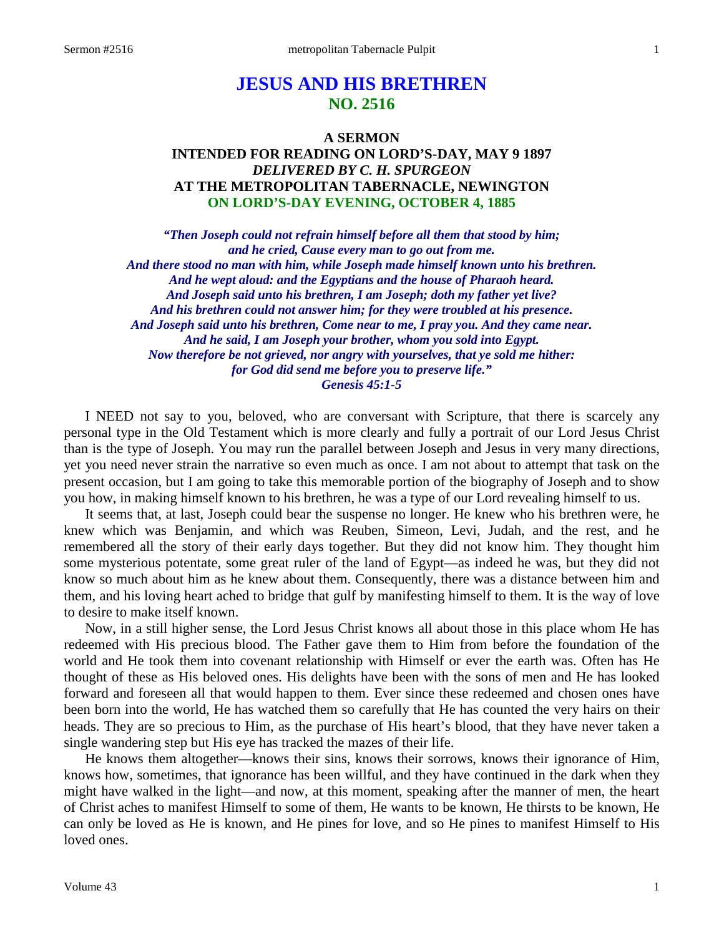# **JESUS AND HIS BRETHREN NO. 2516**

# **A SERMON INTENDED FOR READING ON LORD'S-DAY, MAY 9 1897** *DELIVERED BY C. H. SPURGEON* **AT THE METROPOLITAN TABERNACLE, NEWINGTON ON LORD'S-DAY EVENING, OCTOBER 4, 1885**

*"Then Joseph could not refrain himself before all them that stood by him; and he cried, Cause every man to go out from me. And there stood no man with him, while Joseph made himself known unto his brethren. And he wept aloud: and the Egyptians and the house of Pharaoh heard. And Joseph said unto his brethren, I am Joseph; doth my father yet live? And his brethren could not answer him; for they were troubled at his presence. And Joseph said unto his brethren, Come near to me, I pray you. And they came near. And he said, I am Joseph your brother, whom you sold into Egypt. Now therefore be not grieved, nor angry with yourselves, that ye sold me hither: for God did send me before you to preserve life." Genesis 45:1-5*

I NEED not say to you, beloved, who are conversant with Scripture, that there is scarcely any personal type in the Old Testament which is more clearly and fully a portrait of our Lord Jesus Christ than is the type of Joseph. You may run the parallel between Joseph and Jesus in very many directions, yet you need never strain the narrative so even much as once. I am not about to attempt that task on the present occasion, but I am going to take this memorable portion of the biography of Joseph and to show you how, in making himself known to his brethren, he was a type of our Lord revealing himself to us.

It seems that, at last, Joseph could bear the suspense no longer. He knew who his brethren were, he knew which was Benjamin, and which was Reuben, Simeon, Levi, Judah, and the rest, and he remembered all the story of their early days together. But they did not know him. They thought him some mysterious potentate, some great ruler of the land of Egypt—as indeed he was, but they did not know so much about him as he knew about them. Consequently, there was a distance between him and them, and his loving heart ached to bridge that gulf by manifesting himself to them. It is the way of love to desire to make itself known.

Now, in a still higher sense, the Lord Jesus Christ knows all about those in this place whom He has redeemed with His precious blood. The Father gave them to Him from before the foundation of the world and He took them into covenant relationship with Himself or ever the earth was. Often has He thought of these as His beloved ones. His delights have been with the sons of men and He has looked forward and foreseen all that would happen to them. Ever since these redeemed and chosen ones have been born into the world, He has watched them so carefully that He has counted the very hairs on their heads. They are so precious to Him, as the purchase of His heart's blood, that they have never taken a single wandering step but His eye has tracked the mazes of their life.

He knows them altogether—knows their sins, knows their sorrows, knows their ignorance of Him, knows how, sometimes, that ignorance has been willful, and they have continued in the dark when they might have walked in the light—and now, at this moment, speaking after the manner of men, the heart of Christ aches to manifest Himself to some of them, He wants to be known, He thirsts to be known, He can only be loved as He is known, and He pines for love, and so He pines to manifest Himself to His loved ones.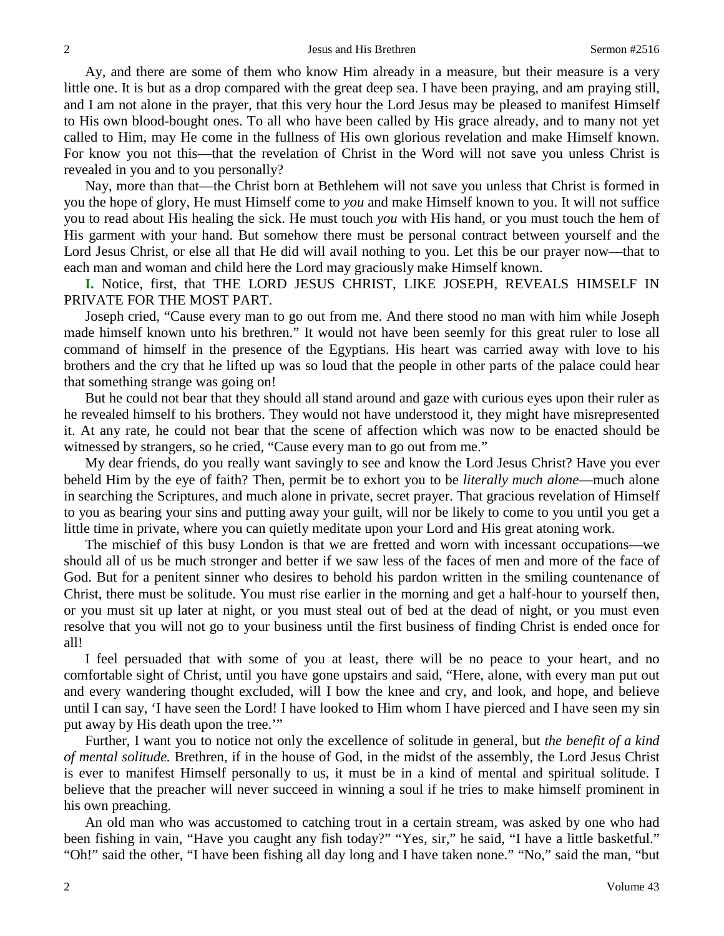Ay, and there are some of them who know Him already in a measure, but their measure is a very little one. It is but as a drop compared with the great deep sea. I have been praying, and am praying still, and I am not alone in the prayer, that this very hour the Lord Jesus may be pleased to manifest Himself to His own blood-bought ones. To all who have been called by His grace already, and to many not yet called to Him, may He come in the fullness of His own glorious revelation and make Himself known. For know you not this—that the revelation of Christ in the Word will not save you unless Christ is revealed in you and to you personally?

Nay, more than that—the Christ born at Bethlehem will not save you unless that Christ is formed in you the hope of glory, He must Himself come to *you* and make Himself known to you. It will not suffice you to read about His healing the sick. He must touch *you* with His hand, or you must touch the hem of His garment with your hand. But somehow there must be personal contract between yourself and the Lord Jesus Christ, or else all that He did will avail nothing to you. Let this be our prayer now—that to each man and woman and child here the Lord may graciously make Himself known.

**I.** Notice, first, that THE LORD JESUS CHRIST, LIKE JOSEPH, REVEALS HIMSELF IN PRIVATE FOR THE MOST PART.

Joseph cried, "Cause every man to go out from me. And there stood no man with him while Joseph made himself known unto his brethren." It would not have been seemly for this great ruler to lose all command of himself in the presence of the Egyptians. His heart was carried away with love to his brothers and the cry that he lifted up was so loud that the people in other parts of the palace could hear that something strange was going on!

But he could not bear that they should all stand around and gaze with curious eyes upon their ruler as he revealed himself to his brothers. They would not have understood it, they might have misrepresented it. At any rate, he could not bear that the scene of affection which was now to be enacted should be witnessed by strangers, so he cried, "Cause every man to go out from me."

My dear friends, do you really want savingly to see and know the Lord Jesus Christ? Have you ever beheld Him by the eye of faith? Then, permit be to exhort you to be *literally much alone*—much alone in searching the Scriptures, and much alone in private, secret prayer. That gracious revelation of Himself to you as bearing your sins and putting away your guilt, will nor be likely to come to you until you get a little time in private, where you can quietly meditate upon your Lord and His great atoning work.

The mischief of this busy London is that we are fretted and worn with incessant occupations—we should all of us be much stronger and better if we saw less of the faces of men and more of the face of God. But for a penitent sinner who desires to behold his pardon written in the smiling countenance of Christ, there must be solitude. You must rise earlier in the morning and get a half-hour to yourself then, or you must sit up later at night, or you must steal out of bed at the dead of night, or you must even resolve that you will not go to your business until the first business of finding Christ is ended once for all!

I feel persuaded that with some of you at least, there will be no peace to your heart, and no comfortable sight of Christ, until you have gone upstairs and said, "Here, alone, with every man put out and every wandering thought excluded, will I bow the knee and cry, and look, and hope, and believe until I can say, 'I have seen the Lord! I have looked to Him whom I have pierced and I have seen my sin put away by His death upon the tree.'"

Further, I want you to notice not only the excellence of solitude in general, but *the benefit of a kind of mental solitude.* Brethren, if in the house of God, in the midst of the assembly, the Lord Jesus Christ is ever to manifest Himself personally to us, it must be in a kind of mental and spiritual solitude. I believe that the preacher will never succeed in winning a soul if he tries to make himself prominent in his own preaching.

An old man who was accustomed to catching trout in a certain stream, was asked by one who had been fishing in vain, "Have you caught any fish today?" "Yes, sir," he said, "I have a little basketful." "Oh!" said the other, "I have been fishing all day long and I have taken none." "No," said the man, "but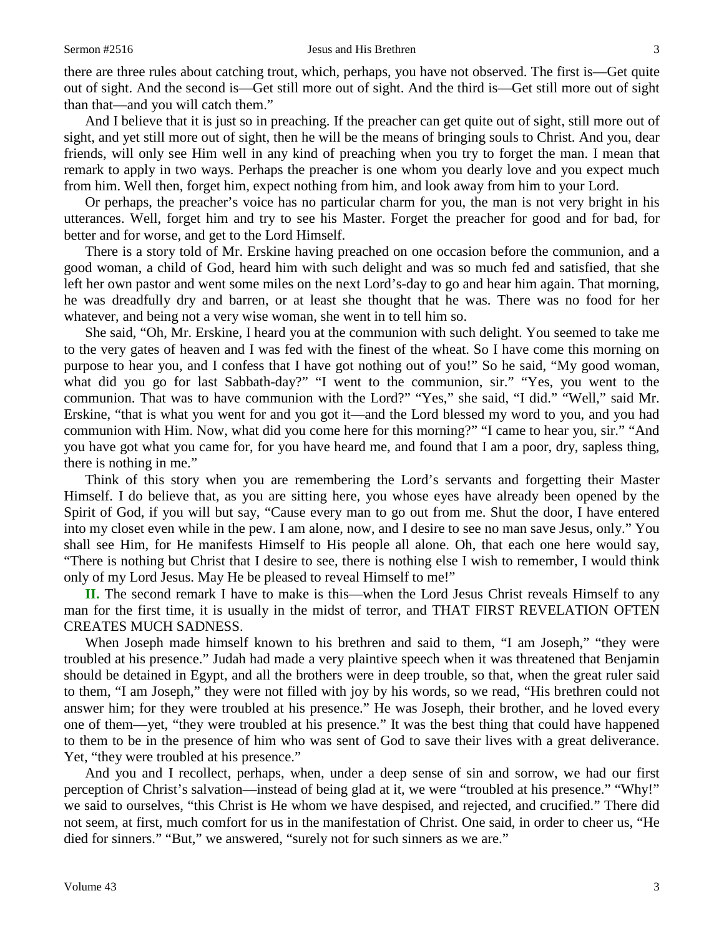there are three rules about catching trout, which, perhaps, you have not observed. The first is—Get quite out of sight. And the second is—Get still more out of sight. And the third is—Get still more out of sight than that—and you will catch them."

And I believe that it is just so in preaching. If the preacher can get quite out of sight, still more out of sight, and yet still more out of sight, then he will be the means of bringing souls to Christ. And you, dear friends, will only see Him well in any kind of preaching when you try to forget the man. I mean that remark to apply in two ways. Perhaps the preacher is one whom you dearly love and you expect much from him. Well then, forget him, expect nothing from him, and look away from him to your Lord.

Or perhaps, the preacher's voice has no particular charm for you, the man is not very bright in his utterances. Well, forget him and try to see his Master. Forget the preacher for good and for bad, for better and for worse, and get to the Lord Himself.

There is a story told of Mr. Erskine having preached on one occasion before the communion, and a good woman, a child of God, heard him with such delight and was so much fed and satisfied, that she left her own pastor and went some miles on the next Lord's-day to go and hear him again. That morning, he was dreadfully dry and barren, or at least she thought that he was. There was no food for her whatever, and being not a very wise woman, she went in to tell him so.

She said, "Oh, Mr. Erskine, I heard you at the communion with such delight. You seemed to take me to the very gates of heaven and I was fed with the finest of the wheat. So I have come this morning on purpose to hear you, and I confess that I have got nothing out of you!" So he said, "My good woman, what did you go for last Sabbath-day?" "I went to the communion, sir." "Yes, you went to the communion. That was to have communion with the Lord?" "Yes," she said, "I did." "Well," said Mr. Erskine, "that is what you went for and you got it—and the Lord blessed my word to you, and you had communion with Him. Now, what did you come here for this morning?" "I came to hear you, sir." "And you have got what you came for, for you have heard me, and found that I am a poor, dry, sapless thing, there is nothing in me."

Think of this story when you are remembering the Lord's servants and forgetting their Master Himself. I do believe that, as you are sitting here, you whose eyes have already been opened by the Spirit of God, if you will but say, "Cause every man to go out from me. Shut the door, I have entered into my closet even while in the pew. I am alone, now, and I desire to see no man save Jesus, only." You shall see Him, for He manifests Himself to His people all alone. Oh, that each one here would say, "There is nothing but Christ that I desire to see, there is nothing else I wish to remember, I would think only of my Lord Jesus. May He be pleased to reveal Himself to me!"

**II.** The second remark I have to make is this—when the Lord Jesus Christ reveals Himself to any man for the first time, it is usually in the midst of terror, and THAT FIRST REVELATION OFTEN CREATES MUCH SADNESS.

When Joseph made himself known to his brethren and said to them, "I am Joseph," "they were troubled at his presence." Judah had made a very plaintive speech when it was threatened that Benjamin should be detained in Egypt, and all the brothers were in deep trouble, so that, when the great ruler said to them, "I am Joseph," they were not filled with joy by his words, so we read, "His brethren could not answer him; for they were troubled at his presence." He was Joseph, their brother, and he loved every one of them—yet, "they were troubled at his presence." It was the best thing that could have happened to them to be in the presence of him who was sent of God to save their lives with a great deliverance. Yet, "they were troubled at his presence."

And you and I recollect, perhaps, when, under a deep sense of sin and sorrow, we had our first perception of Christ's salvation—instead of being glad at it, we were "troubled at his presence." "Why!" we said to ourselves, "this Christ is He whom we have despised, and rejected, and crucified." There did not seem, at first, much comfort for us in the manifestation of Christ. One said, in order to cheer us, "He died for sinners." "But," we answered, "surely not for such sinners as we are."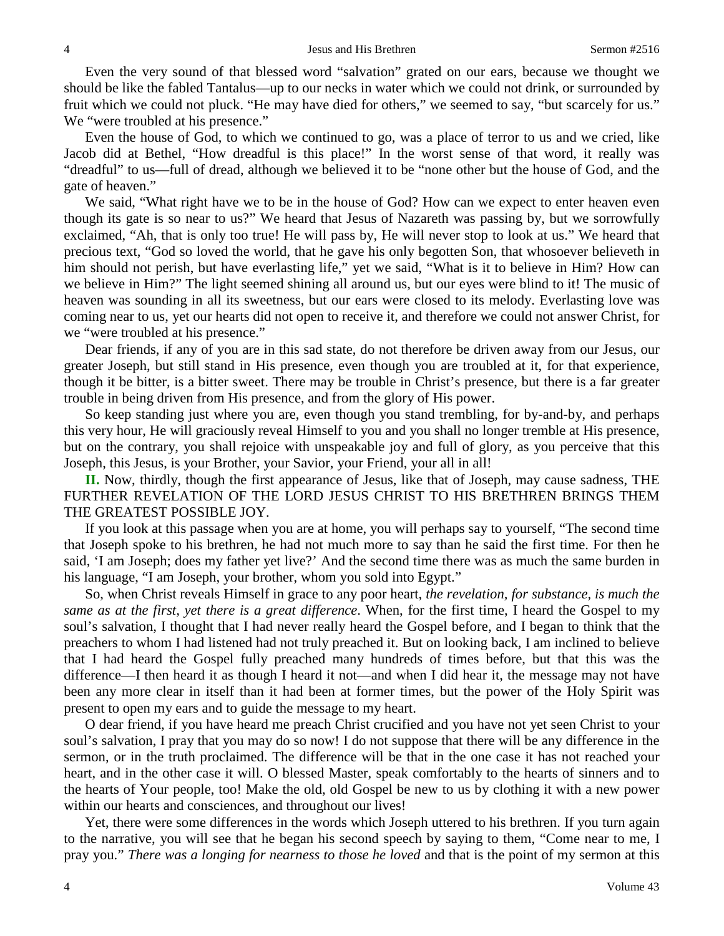Even the very sound of that blessed word "salvation" grated on our ears, because we thought we should be like the fabled Tantalus—up to our necks in water which we could not drink, or surrounded by fruit which we could not pluck. "He may have died for others," we seemed to say, "but scarcely for us." We "were troubled at his presence."

Even the house of God, to which we continued to go, was a place of terror to us and we cried, like Jacob did at Bethel, "How dreadful is this place!" In the worst sense of that word, it really was "dreadful" to us—full of dread, although we believed it to be "none other but the house of God, and the gate of heaven."

We said, "What right have we to be in the house of God? How can we expect to enter heaven even though its gate is so near to us?" We heard that Jesus of Nazareth was passing by, but we sorrowfully exclaimed, "Ah, that is only too true! He will pass by, He will never stop to look at us." We heard that precious text, "God so loved the world, that he gave his only begotten Son, that whosoever believeth in him should not perish, but have everlasting life," yet we said, "What is it to believe in Him? How can we believe in Him?" The light seemed shining all around us, but our eyes were blind to it! The music of heaven was sounding in all its sweetness, but our ears were closed to its melody. Everlasting love was coming near to us, yet our hearts did not open to receive it, and therefore we could not answer Christ, for we "were troubled at his presence."

Dear friends, if any of you are in this sad state, do not therefore be driven away from our Jesus, our greater Joseph, but still stand in His presence, even though you are troubled at it, for that experience, though it be bitter, is a bitter sweet. There may be trouble in Christ's presence, but there is a far greater trouble in being driven from His presence, and from the glory of His power.

So keep standing just where you are, even though you stand trembling, for by-and-by, and perhaps this very hour, He will graciously reveal Himself to you and you shall no longer tremble at His presence, but on the contrary, you shall rejoice with unspeakable joy and full of glory, as you perceive that this Joseph, this Jesus, is your Brother, your Savior, your Friend, your all in all!

**II.** Now, thirdly, though the first appearance of Jesus, like that of Joseph, may cause sadness, THE FURTHER REVELATION OF THE LORD JESUS CHRIST TO HIS BRETHREN BRINGS THEM THE GREATEST POSSIBLE JOY.

If you look at this passage when you are at home, you will perhaps say to yourself, "The second time that Joseph spoke to his brethren, he had not much more to say than he said the first time. For then he said, 'I am Joseph; does my father yet live?' And the second time there was as much the same burden in his language, "I am Joseph, your brother, whom you sold into Egypt."

So, when Christ reveals Himself in grace to any poor heart, *the revelation, for substance, is much the same as at the first, yet there is a great difference*. When, for the first time, I heard the Gospel to my soul's salvation, I thought that I had never really heard the Gospel before, and I began to think that the preachers to whom I had listened had not truly preached it. But on looking back, I am inclined to believe that I had heard the Gospel fully preached many hundreds of times before, but that this was the difference—I then heard it as though I heard it not—and when I did hear it, the message may not have been any more clear in itself than it had been at former times, but the power of the Holy Spirit was present to open my ears and to guide the message to my heart.

O dear friend, if you have heard me preach Christ crucified and you have not yet seen Christ to your soul's salvation, I pray that you may do so now! I do not suppose that there will be any difference in the sermon, or in the truth proclaimed. The difference will be that in the one case it has not reached your heart, and in the other case it will. O blessed Master, speak comfortably to the hearts of sinners and to the hearts of Your people, too! Make the old, old Gospel be new to us by clothing it with a new power within our hearts and consciences, and throughout our lives!

Yet, there were some differences in the words which Joseph uttered to his brethren. If you turn again to the narrative, you will see that he began his second speech by saying to them, "Come near to me, I pray you." *There was a longing for nearness to those he loved* and that is the point of my sermon at this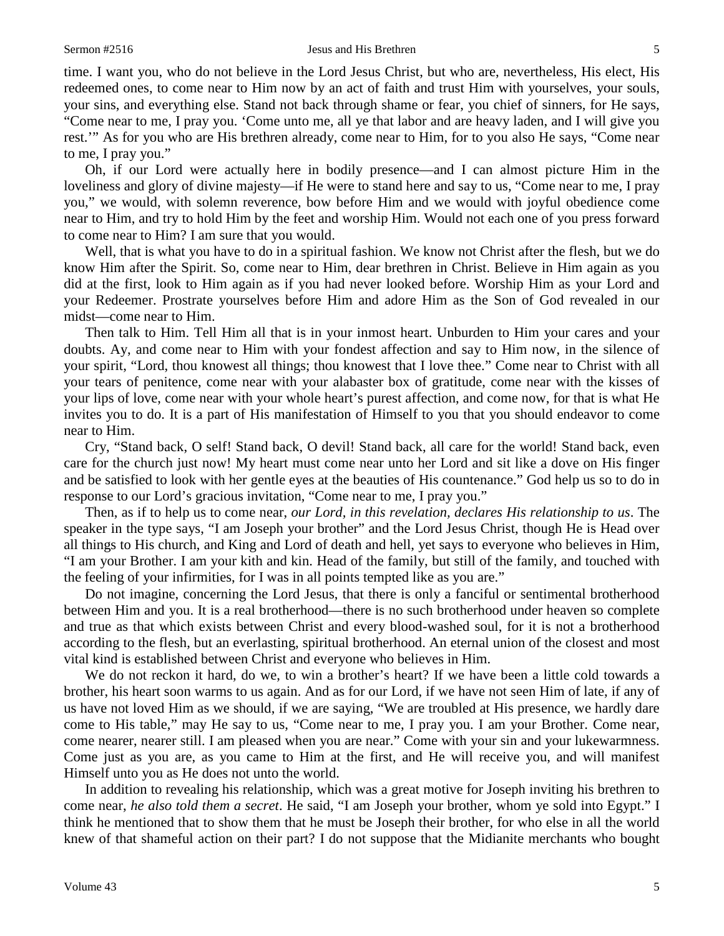### Sermon #2516 **Sermon #2516** Jesus and His Brethren 5

time. I want you, who do not believe in the Lord Jesus Christ, but who are, nevertheless, His elect, His redeemed ones, to come near to Him now by an act of faith and trust Him with yourselves, your souls, your sins, and everything else. Stand not back through shame or fear, you chief of sinners, for He says, "Come near to me, I pray you. 'Come unto me, all ye that labor and are heavy laden, and I will give you rest.'" As for you who are His brethren already, come near to Him, for to you also He says, "Come near to me, I pray you."

Oh, if our Lord were actually here in bodily presence—and I can almost picture Him in the loveliness and glory of divine majesty—if He were to stand here and say to us, "Come near to me, I pray you," we would, with solemn reverence, bow before Him and we would with joyful obedience come near to Him, and try to hold Him by the feet and worship Him. Would not each one of you press forward to come near to Him? I am sure that you would.

Well, that is what you have to do in a spiritual fashion. We know not Christ after the flesh, but we do know Him after the Spirit. So, come near to Him, dear brethren in Christ. Believe in Him again as you did at the first, look to Him again as if you had never looked before. Worship Him as your Lord and your Redeemer. Prostrate yourselves before Him and adore Him as the Son of God revealed in our midst—come near to Him.

Then talk to Him. Tell Him all that is in your inmost heart. Unburden to Him your cares and your doubts. Ay, and come near to Him with your fondest affection and say to Him now, in the silence of your spirit, "Lord, thou knowest all things; thou knowest that I love thee." Come near to Christ with all your tears of penitence, come near with your alabaster box of gratitude, come near with the kisses of your lips of love, come near with your whole heart's purest affection, and come now, for that is what He invites you to do. It is a part of His manifestation of Himself to you that you should endeavor to come near to Him.

Cry, "Stand back, O self! Stand back, O devil! Stand back, all care for the world! Stand back, even care for the church just now! My heart must come near unto her Lord and sit like a dove on His finger and be satisfied to look with her gentle eyes at the beauties of His countenance." God help us so to do in response to our Lord's gracious invitation, "Come near to me, I pray you."

Then, as if to help us to come near, *our Lord, in this revelation, declares His relationship to us*. The speaker in the type says, "I am Joseph your brother" and the Lord Jesus Christ, though He is Head over all things to His church, and King and Lord of death and hell, yet says to everyone who believes in Him, "I am your Brother. I am your kith and kin. Head of the family, but still of the family, and touched with the feeling of your infirmities, for I was in all points tempted like as you are."

Do not imagine, concerning the Lord Jesus, that there is only a fanciful or sentimental brotherhood between Him and you. It is a real brotherhood—there is no such brotherhood under heaven so complete and true as that which exists between Christ and every blood-washed soul, for it is not a brotherhood according to the flesh, but an everlasting, spiritual brotherhood. An eternal union of the closest and most vital kind is established between Christ and everyone who believes in Him.

We do not reckon it hard, do we, to win a brother's heart? If we have been a little cold towards a brother, his heart soon warms to us again. And as for our Lord, if we have not seen Him of late, if any of us have not loved Him as we should, if we are saying, "We are troubled at His presence, we hardly dare come to His table," may He say to us, "Come near to me, I pray you. I am your Brother. Come near, come nearer, nearer still. I am pleased when you are near." Come with your sin and your lukewarmness. Come just as you are, as you came to Him at the first, and He will receive you, and will manifest Himself unto you as He does not unto the world.

In addition to revealing his relationship, which was a great motive for Joseph inviting his brethren to come near, *he also told them a secret*. He said, "I am Joseph your brother, whom ye sold into Egypt." I think he mentioned that to show them that he must be Joseph their brother, for who else in all the world knew of that shameful action on their part? I do not suppose that the Midianite merchants who bought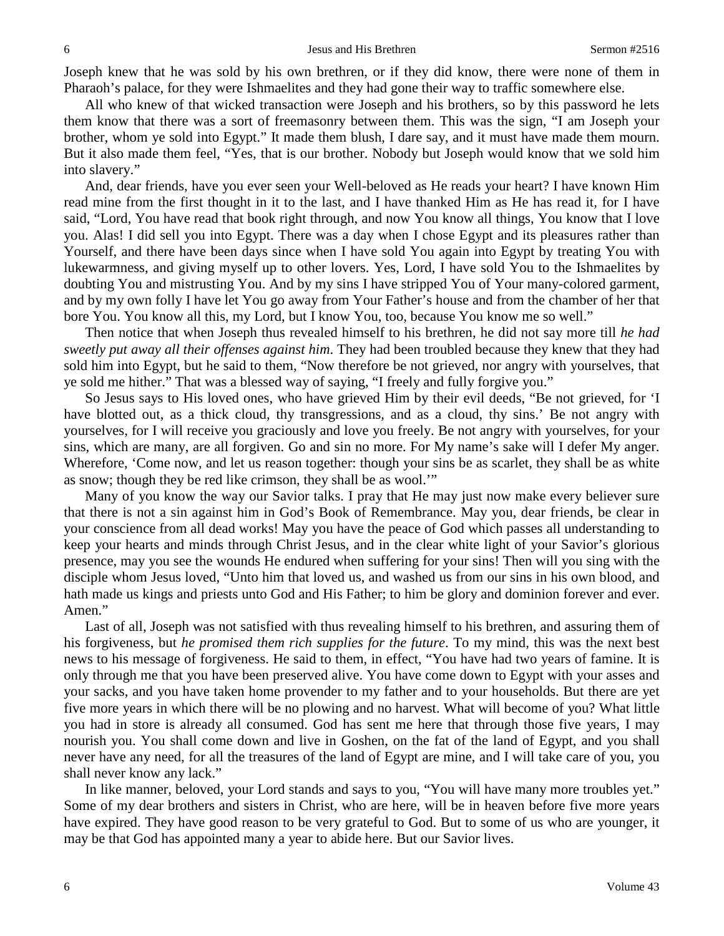Joseph knew that he was sold by his own brethren, or if they did know, there were none of them in Pharaoh's palace, for they were Ishmaelites and they had gone their way to traffic somewhere else.

All who knew of that wicked transaction were Joseph and his brothers, so by this password he lets them know that there was a sort of freemasonry between them. This was the sign, "I am Joseph your brother, whom ye sold into Egypt." It made them blush, I dare say, and it must have made them mourn. But it also made them feel, "Yes, that is our brother. Nobody but Joseph would know that we sold him into slavery."

And, dear friends, have you ever seen your Well-beloved as He reads your heart? I have known Him read mine from the first thought in it to the last, and I have thanked Him as He has read it, for I have said, "Lord, You have read that book right through, and now You know all things, You know that I love you. Alas! I did sell you into Egypt. There was a day when I chose Egypt and its pleasures rather than Yourself, and there have been days since when I have sold You again into Egypt by treating You with lukewarmness, and giving myself up to other lovers. Yes, Lord, I have sold You to the Ishmaelites by doubting You and mistrusting You. And by my sins I have stripped You of Your many-colored garment, and by my own folly I have let You go away from Your Father's house and from the chamber of her that bore You. You know all this, my Lord, but I know You, too, because You know me so well."

Then notice that when Joseph thus revealed himself to his brethren, he did not say more till *he had sweetly put away all their offenses against him*. They had been troubled because they knew that they had sold him into Egypt, but he said to them, "Now therefore be not grieved, nor angry with yourselves, that ye sold me hither." That was a blessed way of saying, "I freely and fully forgive you."

So Jesus says to His loved ones, who have grieved Him by their evil deeds, "Be not grieved, for 'I have blotted out, as a thick cloud, thy transgressions, and as a cloud, thy sins.' Be not angry with yourselves, for I will receive you graciously and love you freely. Be not angry with yourselves, for your sins, which are many, are all forgiven. Go and sin no more. For My name's sake will I defer My anger. Wherefore, 'Come now, and let us reason together: though your sins be as scarlet, they shall be as white as snow; though they be red like crimson, they shall be as wool.'"

Many of you know the way our Savior talks. I pray that He may just now make every believer sure that there is not a sin against him in God's Book of Remembrance. May you, dear friends, be clear in your conscience from all dead works! May you have the peace of God which passes all understanding to keep your hearts and minds through Christ Jesus, and in the clear white light of your Savior's glorious presence, may you see the wounds He endured when suffering for your sins! Then will you sing with the disciple whom Jesus loved, "Unto him that loved us, and washed us from our sins in his own blood, and hath made us kings and priests unto God and His Father; to him be glory and dominion forever and ever. Amen."

Last of all, Joseph was not satisfied with thus revealing himself to his brethren, and assuring them of his forgiveness, but *he promised them rich supplies for the future*. To my mind, this was the next best news to his message of forgiveness. He said to them, in effect, "You have had two years of famine. It is only through me that you have been preserved alive. You have come down to Egypt with your asses and your sacks, and you have taken home provender to my father and to your households. But there are yet five more years in which there will be no plowing and no harvest. What will become of you? What little you had in store is already all consumed. God has sent me here that through those five years, I may nourish you. You shall come down and live in Goshen, on the fat of the land of Egypt, and you shall never have any need, for all the treasures of the land of Egypt are mine, and I will take care of you, you shall never know any lack."

In like manner, beloved, your Lord stands and says to you, "You will have many more troubles yet." Some of my dear brothers and sisters in Christ, who are here, will be in heaven before five more years have expired. They have good reason to be very grateful to God. But to some of us who are younger, it may be that God has appointed many a year to abide here. But our Savior lives.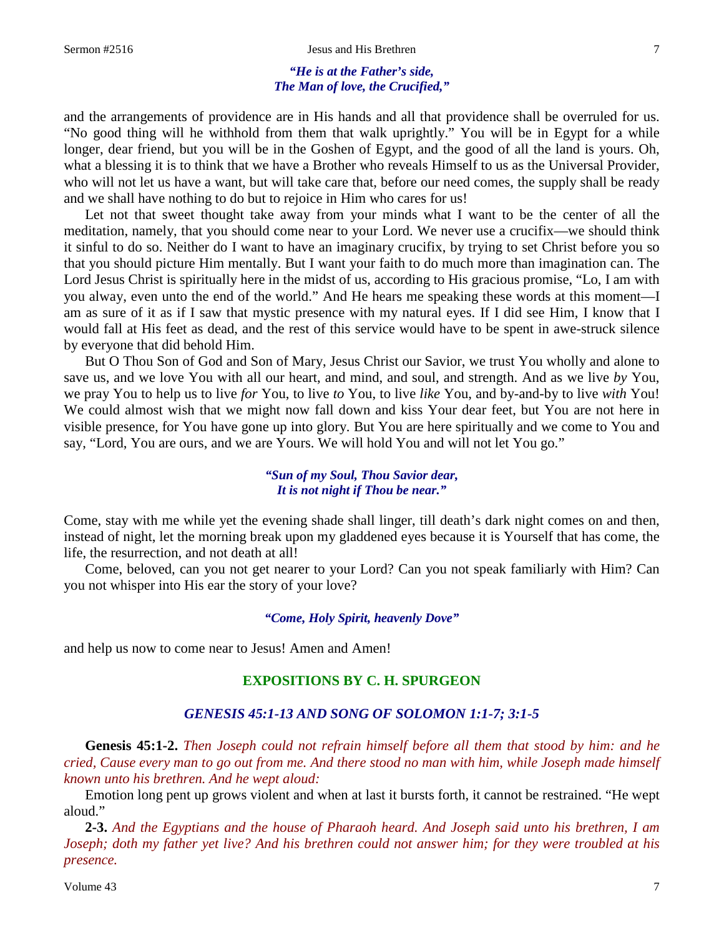### *"He is at the Father's side, The Man of love, the Crucified,"*

and the arrangements of providence are in His hands and all that providence shall be overruled for us. "No good thing will he withhold from them that walk uprightly." You will be in Egypt for a while longer, dear friend, but you will be in the Goshen of Egypt, and the good of all the land is yours. Oh, what a blessing it is to think that we have a Brother who reveals Himself to us as the Universal Provider, who will not let us have a want, but will take care that, before our need comes, the supply shall be ready and we shall have nothing to do but to rejoice in Him who cares for us!

Let not that sweet thought take away from your minds what I want to be the center of all the meditation, namely, that you should come near to your Lord. We never use a crucifix—we should think it sinful to do so. Neither do I want to have an imaginary crucifix, by trying to set Christ before you so that you should picture Him mentally. But I want your faith to do much more than imagination can. The Lord Jesus Christ is spiritually here in the midst of us, according to His gracious promise, "Lo, I am with you alway, even unto the end of the world." And He hears me speaking these words at this moment—I am as sure of it as if I saw that mystic presence with my natural eyes. If I did see Him, I know that I would fall at His feet as dead, and the rest of this service would have to be spent in awe-struck silence by everyone that did behold Him.

But O Thou Son of God and Son of Mary, Jesus Christ our Savior, we trust You wholly and alone to save us, and we love You with all our heart, and mind, and soul, and strength. And as we live *by* You, we pray You to help us to live *for* You, to live *to* You, to live *like* You, and by-and-by to live *with* You! We could almost wish that we might now fall down and kiss Your dear feet, but You are not here in visible presence, for You have gone up into glory. But You are here spiritually and we come to You and say, "Lord, You are ours, and we are Yours. We will hold You and will not let You go."

# *"Sun of my Soul, Thou Savior dear, It is not night if Thou be near."*

Come, stay with me while yet the evening shade shall linger, till death's dark night comes on and then, instead of night, let the morning break upon my gladdened eyes because it is Yourself that has come, the life, the resurrection, and not death at all!

Come, beloved, can you not get nearer to your Lord? Can you not speak familiarly with Him? Can you not whisper into His ear the story of your love?

# *"Come, Holy Spirit, heavenly Dove"*

and help us now to come near to Jesus! Amen and Amen!

# **EXPOSITIONS BY C. H. SPURGEON**

# *GENESIS 45:1-13 AND SONG OF SOLOMON 1:1-7; 3:1-5*

**Genesis 45:1-2.** *Then Joseph could not refrain himself before all them that stood by him: and he cried, Cause every man to go out from me. And there stood no man with him, while Joseph made himself known unto his brethren. And he wept aloud:*

Emotion long pent up grows violent and when at last it bursts forth, it cannot be restrained. "He wept aloud."

**2-3.** *And the Egyptians and the house of Pharaoh heard. And Joseph said unto his brethren, I am Joseph; doth my father yet live? And his brethren could not answer him; for they were troubled at his presence.*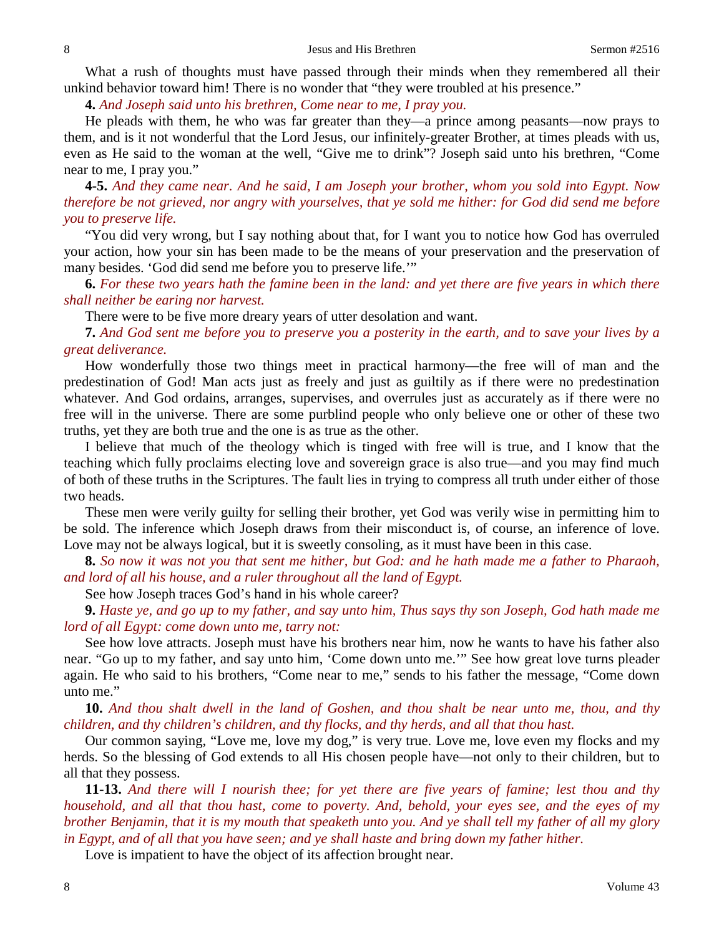What a rush of thoughts must have passed through their minds when they remembered all their unkind behavior toward him! There is no wonder that "they were troubled at his presence."

**4.** *And Joseph said unto his brethren, Come near to me, I pray you.* 

He pleads with them, he who was far greater than they—a prince among peasants—now prays to them, and is it not wonderful that the Lord Jesus, our infinitely-greater Brother, at times pleads with us, even as He said to the woman at the well, "Give me to drink"? Joseph said unto his brethren, "Come near to me, I pray you."

**4-5.** *And they came near. And he said, I am Joseph your brother, whom you sold into Egypt. Now therefore be not grieved, nor angry with yourselves, that ye sold me hither: for God did send me before you to preserve life.*

"You did very wrong, but I say nothing about that, for I want you to notice how God has overruled your action, how your sin has been made to be the means of your preservation and the preservation of many besides. 'God did send me before you to preserve life.'"

**6.** *For these two years hath the famine been in the land: and yet there are five years in which there shall neither be earing nor harvest.* 

There were to be five more dreary years of utter desolation and want.

**7.** *And God sent me before you to preserve you a posterity in the earth, and to save your lives by a great deliverance.* 

How wonderfully those two things meet in practical harmony—the free will of man and the predestination of God! Man acts just as freely and just as guiltily as if there were no predestination whatever. And God ordains, arranges, supervises, and overrules just as accurately as if there were no free will in the universe. There are some purblind people who only believe one or other of these two truths, yet they are both true and the one is as true as the other.

I believe that much of the theology which is tinged with free will is true, and I know that the teaching which fully proclaims electing love and sovereign grace is also true—and you may find much of both of these truths in the Scriptures. The fault lies in trying to compress all truth under either of those two heads.

These men were verily guilty for selling their brother, yet God was verily wise in permitting him to be sold. The inference which Joseph draws from their misconduct is, of course, an inference of love. Love may not be always logical, but it is sweetly consoling, as it must have been in this case.

**8.** *So now it was not you that sent me hither, but God: and he hath made me a father to Pharaoh, and lord of all his house, and a ruler throughout all the land of Egypt.* 

See how Joseph traces God's hand in his whole career?

**9.** *Haste ye, and go up to my father, and say unto him, Thus says thy son Joseph, God hath made me lord of all Egypt: come down unto me, tarry not:*

See how love attracts. Joseph must have his brothers near him, now he wants to have his father also near. "Go up to my father, and say unto him, 'Come down unto me.'" See how great love turns pleader again. He who said to his brothers, "Come near to me," sends to his father the message, "Come down unto me."

**10.** *And thou shalt dwell in the land of Goshen, and thou shalt be near unto me, thou, and thy children, and thy children's children, and thy flocks, and thy herds, and all that thou hast.*

Our common saying, "Love me, love my dog," is very true. Love me, love even my flocks and my herds. So the blessing of God extends to all His chosen people have—not only to their children, but to all that they possess.

**11-13.** *And there will I nourish thee; for yet there are five years of famine; lest thou and thy household, and all that thou hast, come to poverty. And, behold, your eyes see, and the eyes of my brother Benjamin, that it is my mouth that speaketh unto you. And ye shall tell my father of all my glory in Egypt, and of all that you have seen; and ye shall haste and bring down my father hither.*

Love is impatient to have the object of its affection brought near.